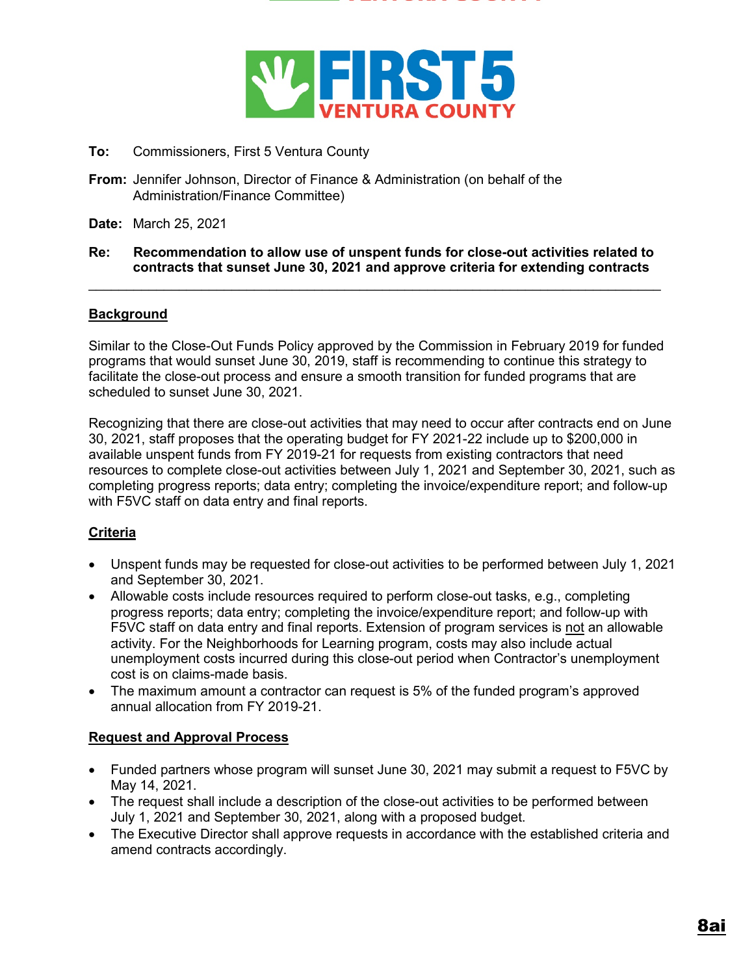



- **To:** Commissioners, First 5 Ventura County
- **From:** Jennifer Johnson, Director of Finance & Administration (on behalf of the Administration/Finance Committee)
- **Date:** March 25, 2021

### **Re: Recommendation to allow use of unspent funds for close-out activities related to contracts that sunset June 30, 2021 and approve criteria for extending contracts**

 $\mathcal{L}_\text{max}$  , and the contribution of the contribution of the contribution of the contribution of the contribution of the contribution of the contribution of the contribution of the contribution of the contribution of t

# **Background**

Similar to the Close-Out Funds Policy approved by the Commission in February 2019 for funded programs that would sunset June 30, 2019, staff is recommending to continue this strategy to facilitate the close-out process and ensure a smooth transition for funded programs that are scheduled to sunset June 30, 2021.

Recognizing that there are close-out activities that may need to occur after contracts end on June 30, 2021, staff proposes that the operating budget for FY 2021-22 include up to \$200,000 in available unspent funds from FY 2019-21 for requests from existing contractors that need resources to complete close-out activities between July 1, 2021 and September 30, 2021, such as completing progress reports; data entry; completing the invoice/expenditure report; and follow-up with F5VC staff on data entry and final reports.

# **Criteria**

- Unspent funds may be requested for close-out activities to be performed between July 1, 2021 and September 30, 2021.
- Allowable costs include resources required to perform close-out tasks, e.g., completing progress reports; data entry; completing the invoice/expenditure report; and follow-up with F5VC staff on data entry and final reports. Extension of program services is not an allowable activity. For the Neighborhoods for Learning program, costs may also include actual unemployment costs incurred during this close-out period when Contractor's unemployment cost is on claims-made basis.
- The maximum amount a contractor can request is 5% of the funded program's approved annual allocation from FY 2019-21.

# **Request and Approval Process**

- Funded partners whose program will sunset June 30, 2021 may submit a request to F5VC by May 14, 2021.
- The request shall include a description of the close-out activities to be performed between July 1, 2021 and September 30, 2021, along with a proposed budget.
- The Executive Director shall approve requests in accordance with the established criteria and amend contracts accordingly.